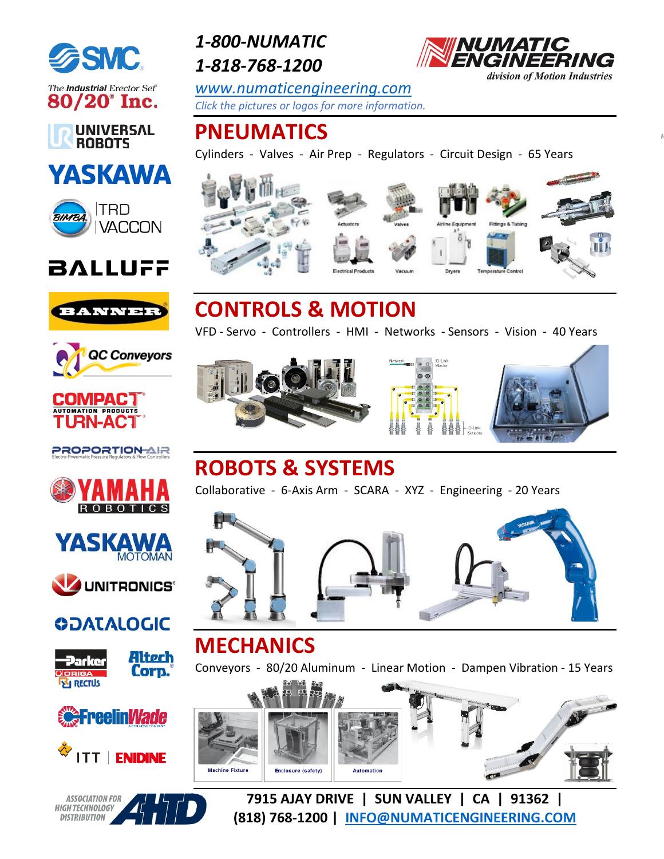

The Industrial Erector Set®  $80/20^{\circ}$  Inc.



## **YASKAWA**



## **BALLUFF**





#### **COMPACT AUTOMATION PRODUCTS**

**PROPORTIONAIR** 







#### **ODATALOGIC**











*1-800-NUMATIC 1-818-768-1200*

*[www.numaticengineering.com](http://www.numaticengineering.com/blog) Click the pictures or logos for more information.*

## **PNEUMATICS**

Cylinders - Valves - Air Prep - Regulators - Circuit Design - 6[5 Years](https://www.numaticengineering.com/blog/tag/bimba/)



# **CONTROLS & MOTION**

VFD - Servo - Controllers - HMI - Networks - Sensors - Vision - 40 Years







## **ROBOTS & SYSTEMS**

Collaborative - 6-Axis Arm - SCARA - XYZ - Engineering - 20 Years



## **MECHANICS**

Conveyors - 80/20 Aluminum - Linear Motion - Dampen Vibration - 15 Years



**7915 AJAY DRIVE | SUN VALLEY | CA | 91362 | (818) 768-1200 | [INFO@NUMATICENGINEERING.COM](mailto:INFO@NUMATICENGINEERING.COM)**

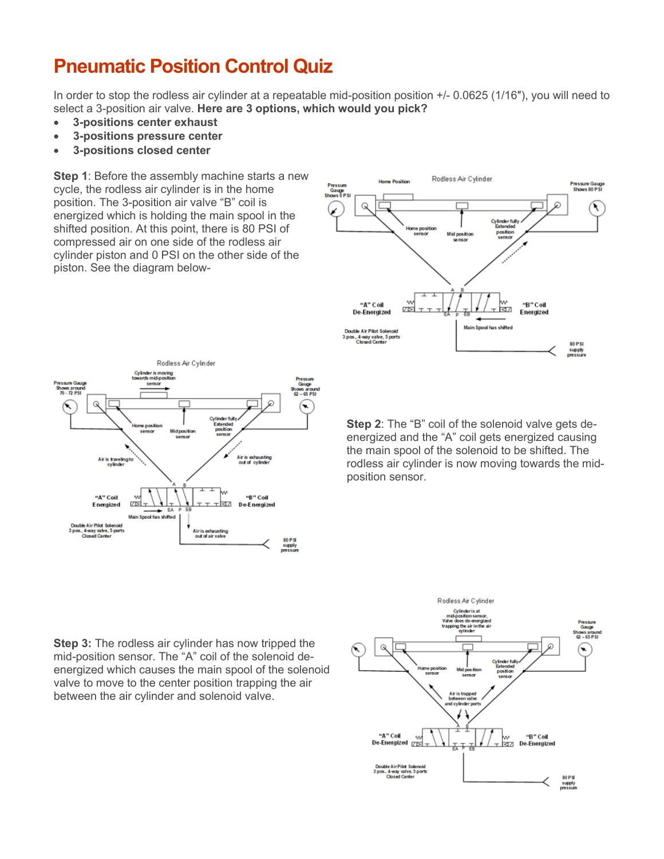#### **Pneumatic Position Control Quiz**

In order to stop the rodless air cylinder at a repeatable mid-position position +/- 0.0625 (1/16″), you will need to select a 3-position air valve. **Here are 3 options, which would you pick?**

- **3-positions center exhaust**
- **3-positions pressure center**
- **3-positions closed center**

**Step 1**: Before the assembly machine starts a new cycle, the rodless air cylinder is in the home position. The 3-position air valve "B" coil is energized which is holding the main spool in the shifted position. At this point, there is 80 PSI of compressed air on one side of the rodless air cylinder piston and 0 PSI on the other side of the piston. See the diagram below-





**Step 2**: The "B" coil of the solenoid valve gets deenergized and the "A" coil gets energized causing the main spool of the solenoid to be shifted. The rodless air cylinder is now moving towards the midposition sensor.

**Step 3:** The rodless air cylinder has now tripped the mid-position sensor. The "A" coil of the solenoid deenergized which causes the main spool of the solenoid valve to move to the center position trapping the air between the air cylinder and solenoid valve.